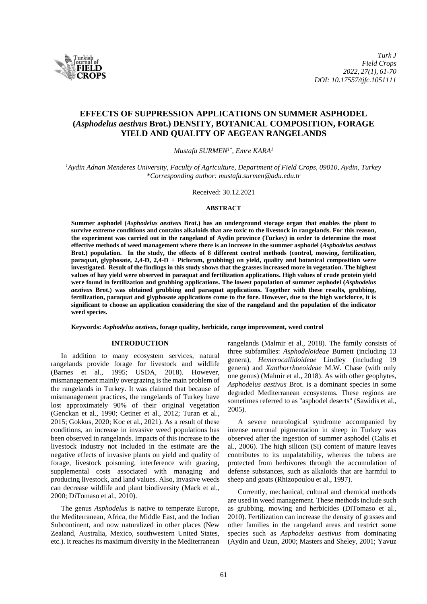

# **EFFECTS OF SUPPRESSION APPLICATIONS ON SUMMER ASPHODEL (***Asphodelus aestivus* **Brot.) DENSITY, BOTANICAL COMPOSITION, FORAGE YIELD AND QUALITY OF AEGEAN RANGELANDS**

*Mustafa SURMEN1\*, Emre KARA<sup>1</sup>*

*<sup>1</sup>Aydin Adnan Menderes University, Faculty of Agriculture, Department of Field Crops, 09010, Aydin, Turkey \*Corresponding author: [mustafa.surmen@adu.edu.tr](mailto:mustafa.surmen@adu.edu.tr)*

Received: 30.12.2021

## **ABSTRACT**

**Summer asphodel (***Asphodelus aestivus* **Brot.) has an underground storage organ that enables the plant to survive extreme conditions and contains alkaloids that are toxic to the livestock in rangelands. For this reason, the experiment was carried out in the rangeland of Aydin province (Turkey) in order to determine the most effective methods of weed management where there is an increase in the summer asphodel (***Asphodelus aestivus* **Brot.) population. In the study, the effects of 8 different control methods (control, mowing, fertilization, paraquat, glyphosate, 2,4-D, 2,4-D + Picloram, grubbing) on yield, quality and botanical composition were investigated. Result of the findings in this study shows that the grasses increased more in vegetation. The highest values of hay yield were observed in paraquat and fertilization applications. High values of crude protein yield were found in fertilization and grubbing applications. The lowest population of summer asphodel (***Asphodelus aestivus* **Brot.) was obtained grubbing and paraquat applications. Together with these results, grubbing, fertilization, paraquat and glyphosate applications come to the fore. However, due to the high workforce, it is significant to choose an application considering the size of the rangeland and the population of the indicator weed species.**

**Keywords:** *Asphodelus aestivus***, forage quality, herbicide, range improvement, weed control**

## **INTRODUCTION**

In addition to many ecosystem services, natural rangelands provide forage for livestock and wildlife (Barnes et al., 1995; USDA, 2018). However, mismanagement mainly overgrazing isthe main problem of the rangelands in Turkey. It was claimed that because of mismanagement practices, the rangelands of Turkey have lost approximately 90% of their original vegetation (Genckan et al., 1990; Cetiner et al., 2012; Turan et al., 2015; Gokkus, 2020; Koc et al., 2021). As a result of these conditions, an increase in invasive weed populations has been observed in rangelands. Impacts of this increase to the livestock industry not included in the estimate are the negative effects of invasive plants on yield and quality of forage, livestock poisoning, interference with grazing, supplemental costs associated with managing and producing livestock, and land values. Also, invasive weeds can decrease wildlife and plant biodiversity (Mack et al., 2000; DiTomaso et al., 2010).

The genus *Asphodelus* is native to temperate Europe, the Mediterranean, Africa, the Middle East, and the Indian Subcontinent, and now naturalized in other places (New Zealand, Australia, Mexico, southwestern United States, etc.). It reaches its maximum diversity in the Mediterranean rangelands (Malmir et al., 2018). The family consists of three subfamilies: *Asphodeloideae* Burnett (including 13 genera), *Hemerocallidoideae* Lindley (including 19 genera) and *Xanthorrhoeoideae* M.W. Chase (with only one genus) (Malmir et al., 2018). As with other geophytes, *Asphodelus aestivus* Brot. is a dominant species in some degraded Mediterranean ecosystems. These regions are sometimes referred to as "asphodel deserts" (Sawidis et al., 2005).

A severe neurological syndrome accompanied by intense neuronal pigmentation in sheep in Turkey was observed after the ingestion of summer asphodel (Calis et al., 2006). The high silicon (Si) content of mature leaves contributes to its unpalatability, whereas the tubers are protected from herbivores through the accumulation of defense substances, such as alkaloids that are harmful to sheep and goats (Rhizopoulou et al., 1997).

Currently, mechanical, cultural and chemical methods are used in weed management. These methods include such as grubbing, mowing and herbicides (DiTomaso et al., 2010). Fertilization can increase the density of grasses and other families in the rangeland areas and restrict some species such as *Asphodelus aestivus* from dominating (Aydin and Uzun, 2000; Masters and Sheley, 2001; Yavuz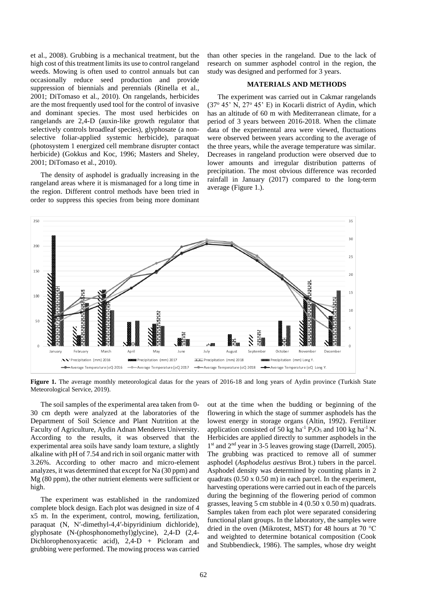et al., 2008). Grubbing is a mechanical treatment, but the high cost of this treatment limits its use to control rangeland weeds. Mowing is often used to control annuals but can occasionally reduce seed production and provide suppression of biennials and perennials (Rinella et al., 2001; DiTomaso et al., 2010). On rangelands, herbicides are the most frequently used tool for the control of invasive and dominant species. The most used herbicides on rangelands are 2,4-D (auxin-like growth regulator that selectively controls broadleaf species), glyphosate (a nonselective foliar-applied systemic herbicide), paraquat (photosystem 1 energized cell membrane disrupter contact herbicide) (Gokkus and Koc, 1996; Masters and Sheley, 2001; DiTomaso et al., 2010).

The density of asphodel is gradually increasing in the rangeland areas where it is mismanaged for a long time in the region. Different control methods have been tried in order to suppress this species from being more dominant

than other species in the rangeland. Due to the lack of research on summer asphodel control in the region, the study was designed and performed for 3 years.

## **MATERIALS AND METHODS**

The experiment was carried out in Cakmar rangelands  $(37° 45' N, 27° 45' E)$  in Kocarli district of Aydin, which has an altitude of 60 m with Mediterranean climate, for a period of 3 years between 2016-2018. When the climate data of the experimental area were viewed, fluctuations were observed between years according to the average of the three years, while the average temperature was similar. Decreases in rangeland production were observed due to lower amounts and irregular distribution patterns of precipitation. The most obvious difference was recorded rainfall in January (2017) compared to the long-term average (Figure 1.).



Figure 1. The average monthly meteorological datas for the years of 2016-18 and long years of Aydin province (Turkish State Meteorological Service, 2019).

The soil samples of the experimental area taken from 0- 30 cm depth were analyzed at the laboratories of the Department of Soil Science and Plant Nutrition at the Faculty of Agriculture, Aydin Adnan Menderes University. According to the results, it was observed that the experimental area soils have sandy loam texture, a slightly alkaline with pH of 7.54 and rich in soil organic matter with 3.26%. According to other macro and micro-element analyzes, it was determined that except for Na (30 ppm) and Mg (80 ppm), the other nutrient elements were sufficient or high.

The experiment was established in the randomized complete block design. Each plot was designed in size of 4 x5 m. In the experiment, control, mowing, fertilization, paraquat (N, N′-dimethyl-4,4′-bipyridinium dichloride), glyphosate (N-(phosphonomethyl)glycine), 2,4-D (2,4- Dichlorophenoxyacetic acid), 2,4-D + Picloram and grubbing were performed. The mowing process was carried

out at the time when the budding or beginning of the flowering in which the stage of summer asphodels has the lowest energy in storage organs (Altin, 1992). Fertilizer application consisted of 50 kg ha<sup>-1</sup>  $P_2O_5$  and 100 kg ha<sup>-1</sup> N. Herbicides are applied directly to summer asphodels in the 1<sup>st</sup> and 2<sup>nd</sup> year in 3-5 leaves growing stage (Darrell, 2005). The grubbing was practiced to remove all of summer asphodel (*Asphodelus aestivus* Brot.) tubers in the parcel. Asphodel density was determined by counting plants in 2 quadrats (0.50 x 0.50 m) in each parcel. In the experiment, harvesting operations were carried out in each of the parcels during the beginning of the flowering period of common grasses, leaving 5 cm stubble in  $4(0.50 \times 0.50 \text{ m})$  quadrats. Samples taken from each plot were separated considering functional plant groups. In the laboratory, the samples were dried in the oven (Mikrotest, MST) for 48 hours at 70 °C and weighted to determine botanical composition (Cook and Stubbendieck, 1986). The samples, whose dry weight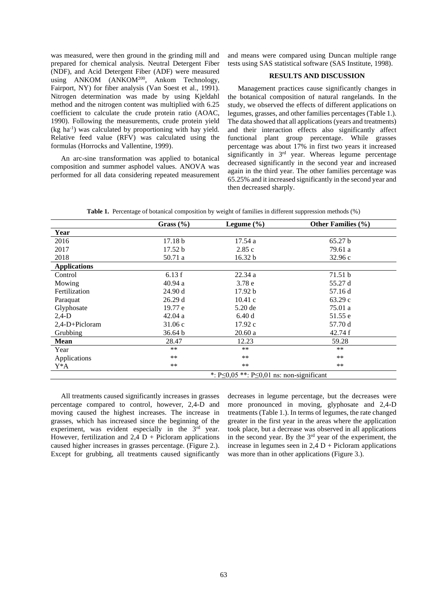was measured, were then ground in the grinding mill and prepared for chemical analysis. Neutral Detergent Fiber (NDF), and Acid Detergent Fiber (ADF) were measured using ANKOM (ANKOM<sup>200</sup>, Ankom Technology, Fairport, NY) for fiber analysis (Van Soest et al., 1991). Nitrogen determination was made by using Kjeldahl method and the nitrogen content was multiplied with 6.25 coefficient to calculate the crude protein ratio (AOAC, 1990). Following the measurements, crude protein yield (kg ha -1 ) was calculated by proportioning with hay yield. Relative feed value (RFV) was calculated using the formulas (Horrocks and Vallentine, 1999).

An arc-sine transformation was applied to botanical composition and summer asphodel values. ANOVA was performed for all data considering repeated measurement and means were compared using Duncan multiple range tests using SAS statistical software (SAS Institute, 1998).

## **RESULTS AND DISCUSSION**

Management practices cause significantly changes in the botanical composition of natural rangelands. In the study, we observed the effects of different applications on legumes, grasses, and other families percentages (Table 1.). The data showed that all applications (years and treatments) and their interaction effects also significantly affect functional plant group percentage. While grasses percentage was about 17% in first two years it increased significantly in  $3<sup>rd</sup>$  year. Whereas legume percentage decreased significantly in the second year and increased again in the third year. The other families percentage was 65.25% and it increased significantly in the second year and then decreased sharply.

|                     | Grass $(\% )$                                        | Legume $(\% )$    | <b>Other Families (%)</b> |  |
|---------------------|------------------------------------------------------|-------------------|---------------------------|--|
| Year                |                                                      |                   |                           |  |
| 2016                | 17.18 <sub>b</sub>                                   | 17.54a            | 65.27 b                   |  |
| 2017                | 17.52 b                                              | 2.85c             | 79.61 a                   |  |
| 2018                | 50.71 a                                              | 16.32 b           | 32.96c                    |  |
| <b>Applications</b> |                                                      |                   |                           |  |
| Control             | 6.13f                                                | 22.34 a           | 71.51 b                   |  |
| Mowing              | 40.94a                                               | 3.78 <sub>e</sub> | 55.27 d                   |  |
| Fertilization       | 24.90 d                                              | 17.92 b           | 57.16 d                   |  |
| Paraquat            | 26.29d                                               | 10.41c            | 63.29c                    |  |
| Glyphosate          | 19.77 e                                              | 5.20 de           | 75.01 a                   |  |
| $2,4-D$             | 42.04a                                               | 6.40d             | 51.55 e                   |  |
| $2,4-D+Picloram$    | 31.06c                                               | 17.92c            | 57.70 d                   |  |
| Grubbing            | 36.64 b                                              | 20.60a            | 42.74f                    |  |
| <b>Mean</b>         | 28.47                                                | 12.23             | 59.28                     |  |
| Year                | $***$                                                | $***$             | $***$                     |  |
| Applications        | $***$                                                | $***$             | $***$                     |  |
| Y*A                 | **                                                   | $***$             | $***$                     |  |
|                     | *: $P \le 0.05$ **: $P \le 0.01$ ns: non-significant |                   |                           |  |

All treatments caused significantly increases in grasses percentage compared to control, however, 2,4-D and moving caused the highest increases. The increase in grasses, which has increased since the beginning of the experiment, was evident especially in the  $3<sup>rd</sup>$  year. However, fertilization and  $2.4$  D + Picloram applications caused higher increases in grasses percentage. (Figure 2.). Except for grubbing, all treatments caused significantly decreases in legume percentage, but the decreases were more pronounced in moving, glyphosate and 2,4-D treatments (Table 1.). In terms of legumes, the rate changed greater in the first year in the areas where the application took place, but a decrease was observed in all applications in the second year. By the 3rd year of the experiment, the increase in legumes seen in  $2,4$  D + Picloram applications was more than in other applications (Figure 3.).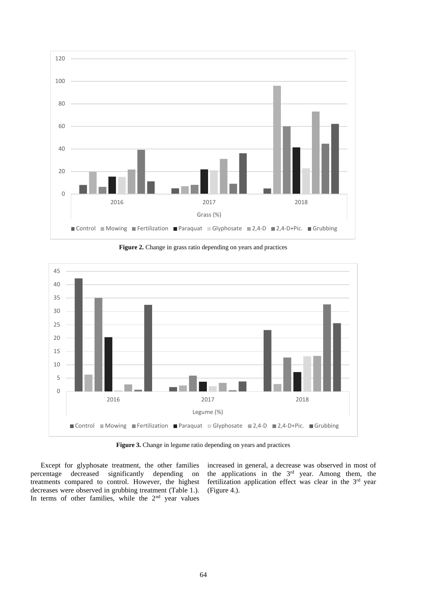

**Figure 2.** Change in grass ratio depending on years and practices



**Figure 3.** Change in legume ratio depending on years and practices

Except for glyphosate treatment, the other families percentage decreased significantly depending on treatments compared to control. However, the highest decreases were observed in grubbing treatment (Table 1.). In terms of other families, while the  $2<sup>nd</sup>$  year values

increased in general, a decrease was observed in most of the applications in the 3rd year. Among them, the fertilization application effect was clear in the 3<sup>rd</sup> year (Figure 4.).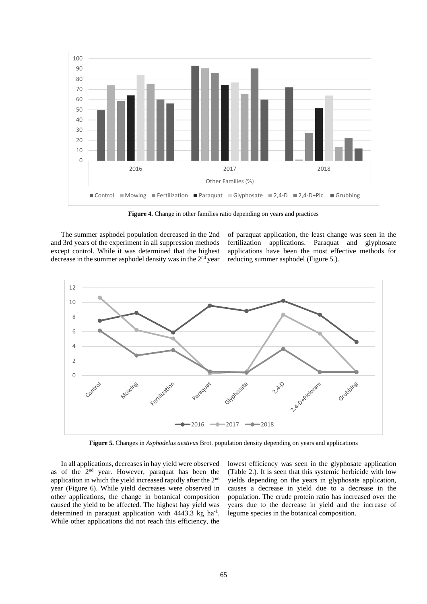

Figure 4. Change in other families ratio depending on years and practices

The summer asphodel population decreased in the 2nd and 3rd years of the experiment in all suppression methods except control. While it was determined that the highest decrease in the summer asphodel density was in the 2<sup>nd</sup> year

of paraquat application, the least change was seen in the fertilization applications. Paraquat and glyphosate applications have been the most effective methods for reducing summer asphodel (Figure 5.).



**Figure 5.** Changes in *Asphodelus aestivus* Brot. population density depending on years and applications

In all applications, decreases in hay yield were observed as of the 2nd year. However, paraquat has been the application in which the yield increased rapidly after the 2nd year (Figure 6). While yield decreases were observed in other applications, the change in botanical composition caused the yield to be affected. The highest hay yield was determined in paraquat application with  $4443.3$  kg ha<sup>-1</sup>. While other applications did not reach this efficiency, the

lowest efficiency was seen in the glyphosate application (Table 2.). It is seen that this systemic herbicide with low yields depending on the years in glyphosate application, causes a decrease in yield due to a decrease in the population. The crude protein ratio has increased over the years due to the decrease in yield and the increase of legume species in the botanical composition.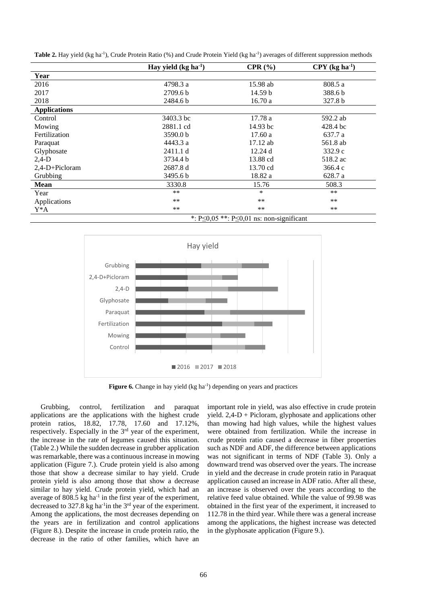|                     | Hay yield $(kg ha1)$                                 | CPR(%)     | $CPY$ (kg ha $^{-1}$ ) |  |
|---------------------|------------------------------------------------------|------------|------------------------|--|
| Year                |                                                      |            |                        |  |
| 2016                | 4798.3 a                                             | 15.98 ab   | 808.5 a                |  |
| 2017                | 2709.6 <sub>b</sub>                                  | 14.59 b    | 388.6b                 |  |
| 2018                | 2484.6 b                                             | 16.70a     | 327.8 b                |  |
| <b>Applications</b> |                                                      |            |                        |  |
| Control             | 3403.3 bc                                            | 17.78 a    | 592.2 ab               |  |
| Mowing              | 2881.1 cd                                            | 14.93 bc   | 428.4 bc               |  |
| Fertilization       | 3590.0 b                                             | 17.60a     | 637.7 a                |  |
| Paraquat            | 4443.3 a                                             | $17.12$ ab | 561.8 ab               |  |
| Glyphosate          | 2411.1 d                                             | 12.24d     | 332.9c                 |  |
| $2,4-D$             | 3734.4 b                                             | 13.88 cd   | 518.2 ac               |  |
| 2,4-D+Picloram      | 2687.8 d                                             | 13.70 cd   | 366.4c                 |  |
| Grubbing            | 3495.6 b                                             | 18.82 a    | 628.7 a                |  |
| <b>Mean</b>         | 3330.8                                               | 15.76      | 508.3                  |  |
| Year                | $***$                                                | $\ast$     | $***$                  |  |
| Applications        | $***$                                                | **         | $***$                  |  |
| Y*A                 | $***$                                                | **         | $***$                  |  |
|                     | *: $P \le 0.05$ **: $P \le 0.01$ ns: non-significant |            |                        |  |

Table 2. Hay yield (kg ha<sup>-1</sup>), Crude Protein Ratio (%) and Crude Protein Yield (kg ha<sup>-1</sup>) averages of different suppression methods



Figure 6. Change in hay yield (kg ha<sup>-1</sup>) depending on years and practices

Grubbing, control, fertilization and paraquat applications are the applications with the highest crude protein ratios, 18.82, 17.78, 17.60 and 17.12%, respectively. Especially in the 3rd year of the experiment, the increase in the rate of legumes caused this situation. (Table 2.) While the sudden decrease in grubber application was remarkable, there was a continuous increase in mowing application (Figure 7.). Crude protein yield is also among those that show a decrease similar to hay yield. Crude protein yield is also among those that show a decrease similar to hay yield. Crude protein yield, which had an average of 808.5 kg ha<sup>-1</sup> in the first year of the experiment, decreased to  $327.8$  kg ha<sup>-1</sup>in the  $3<sup>rd</sup>$  year of the experiment. Among the applications, the most decreases depending on the years are in fertilization and control applications (Figure 8.). Despite the increase in crude protein ratio, the decrease in the ratio of other families, which have an

important role in yield, was also effective in crude protein yield. 2,4-D + Picloram, glyphosate and applications other than mowing had high values, while the highest values were obtained from fertilization. While the increase in crude protein ratio caused a decrease in fiber properties such as NDF and ADF, the difference between applications was not significant in terms of NDF (Table 3). Only a downward trend was observed over the years. The increase in yield and the decrease in crude protein ratio in Paraquat application caused an increase in ADF ratio. After all these, an increase is observed over the years according to the relative feed value obtained. While the value of 99.98 was obtained in the first year of the experiment, it increased to 112.78 in the third year. While there was a general increase among the applications, the highest increase was detected in the glyphosate application (Figure 9.).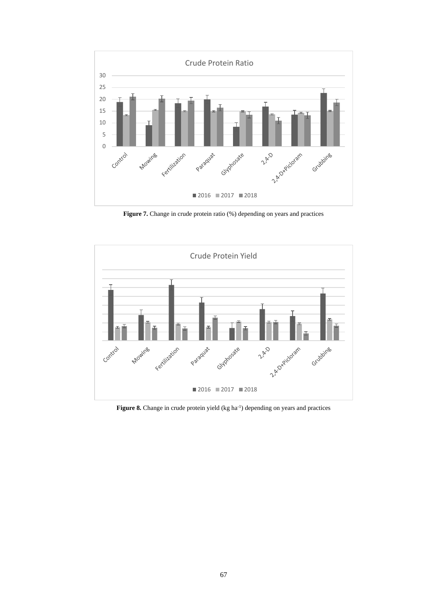

Figure 7. Change in crude protein ratio (%) depending on years and practices



Figure 8. Change in crude protein yield (kg ha<sup>-1</sup>) depending on years and practices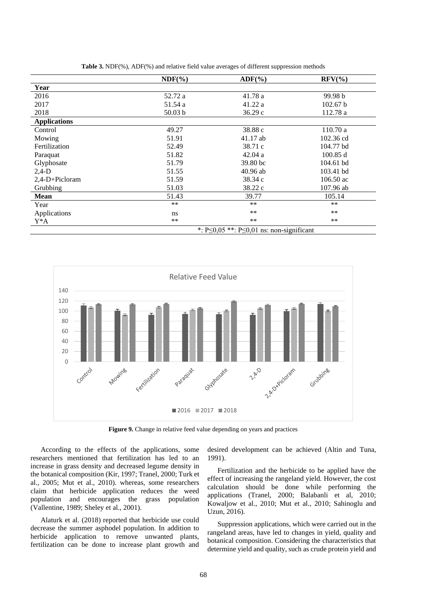|                     | $NDF(\%)$                                            | $\text{ADF}(\% )$ | $RFV(\%)$   |  |
|---------------------|------------------------------------------------------|-------------------|-------------|--|
| Year                |                                                      |                   |             |  |
| 2016                | 52.72 a                                              | 41.78 a           | 99.98 b     |  |
| 2017                | 51.54 a                                              | 41.22 a           | 102.67 b    |  |
| 2018                | 50.03 b                                              | 36.29c            | 112.78 a    |  |
| <b>Applications</b> |                                                      |                   |             |  |
| Control             | 49.27                                                | 38.88 c           | 110.70a     |  |
| Mowing              | 51.91                                                | $41.17$ ab        | 102.36 cd   |  |
| Fertilization       | 52.49                                                | 38.71 c           | 104.77 bd   |  |
| Paraquat            | 51.82                                                | 42.04a            | 100.85 d    |  |
| Glyphosate          | 51.79                                                | 39.80 bc          | 104.61 bd   |  |
| $2,4-D$             | 51.55                                                | $40.96$ ab        | 103.41 bd   |  |
| 2,4-D+Picloram      | 51.59                                                | 38.34 c           | $106.50$ ac |  |
| Grubbing            | 51.03                                                | 38.22 c           | 107.96 ab   |  |
| <b>Mean</b>         | 51.43                                                | 39.77             | 105.14      |  |
| Year                | $**$                                                 | $**$              | $**$        |  |
| Applications        | ns                                                   | $**$              | $***$       |  |
| $Y^*A$              | **                                                   | $***$             | $***$       |  |
|                     | *: $P \le 0.05$ **: $P \le 0.01$ ns: non-significant |                   |             |  |

**Table 3.** NDF(%), ADF(%) and relative field value averages of different suppression methods



**Figure 9.** Change in relative feed value depending on years and practices

According to the effects of the applications, some researchers mentioned that fertilization has led to an increase in grass density and decreased legume density in the botanical composition (Kir, 1997; Tranel, 2000; Turk et al., 2005; Mut et al., 2010). whereas, some researchers claim that herbicide application reduces the weed population and encourages the grass population (Vallentine, 1989; Sheley et al., 2001).

Alaturk et al. (2018) reported that herbicide use could decrease the summer asphodel population. In addition to herbicide application to remove unwanted plants, fertilization can be done to increase plant growth and desired development can be achieved (Altin and Tuna, 1991).

Fertilization and the herbicide to be applied have the effect of increasing the rangeland yield. However, the cost calculation should be done while performing the applications (Tranel, 2000; Balabanli et al, 2010; Kowaljow et al., 2010; Mut et al., 2010; Sahinoglu and Uzun, 2016).

Suppression applications, which were carried out in the rangeland areas, have led to changes in yield, quality and botanical composition. Considering the characteristics that determine yield and quality, such as crude protein yield and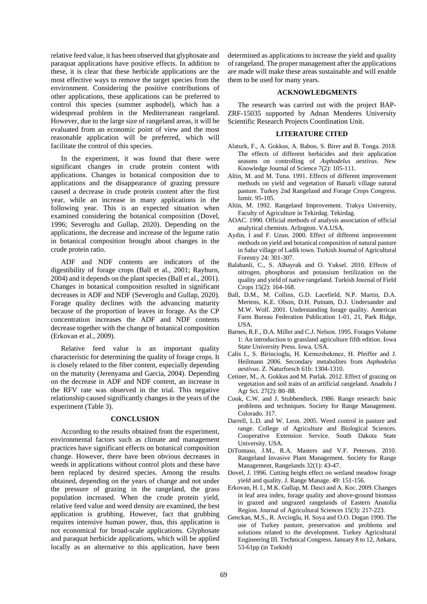relative feed value, it has been observed that glyphosate and paraquat applications have positive effects. In addition to these, it is clear that these herbicide applications are the most effective ways to remove the target species from the environment. Considering the positive contributions of other applications, these applications can be preferred to control this species (summer asphodel), which has a widespread problem in the Mediterranean rangeland. However, due to the large size of rangeland areas, it will be evaluated from an economic point of view and the most reasonable application will be preferred, which will facilitate the control of this species.

In the experiment, it was found that there were significant changes in crude protein content with applications. Changes in botanical composition due to applications and the disappearance of grazing pressure caused a decrease in crude protein content after the first year, while an increase in many applications in the following year. This is an expected situation when examined considering the botanical composition (Dovel, 1996; Severoglu and Gullap, 2020). Depending on the applications, the decrease and increase of the legume ratio in botanical composition brought about changes in the crude protein ratio.

ADF and NDF contents are indicators of the digestibility of forage crops (Ball et al., 2001; Rayburn, 2004) and it depends on the plant species (Ball et al., 2001). Changes in botanical composition resulted in significant decreases in ADF and NDF (Severoglu and Gullap, 2020). Forage quality declines with the advancing maturity because of the proportion of leaves in forage. As the CP concentration increases the ADF and NDF contents decrease together with the change of botanical composition (Erkovan et al., 2009).

Relative feed value is an important quality characteristic for determining the quality of forage crops. It is closely related to the fiber content, especially depending on the maturity (Jerenyama and Garcia, 2004). Depending on the decrease in ADF and NDF content, an increase in the RFV rate was observed in the trial. This negative relationship caused significantly changes in the years of the experiment (Table 3).

### **CONCLUSION**

According to the results obtained from the experiment, environmental factors such as climate and management practices have significant effects on botanical composition change. However, there have been obvious decreases in weeds in applications without control plots and these have been replaced by desired species. Among the results obtained, depending on the years of change and not under the pressure of grazing in the rangeland, the grass population increased. When the crude protein yield, relative feed value and weed density are examined, the best application is grubbing. However, fact that grubbing requires intensive human power, thus, this application is not economical for broad-scale applications. Glyphosate and paraquat herbicide applications, which will be applied locally as an alternative to this application, have been determined as applications to increase the yield and quality of rangeland. The proper management after the applications are made will make these areas sustainable and will enable them to be used for many years.

### **ACKNOWLEDGMENTS**

The research was carried out with the project BAP-ZRF-15035 supported by Adnan Menderes University Scientific Research Projects Coordination Unit.

#### **LITERATURE CITED**

- Alaturk, F., A. Gokkus, A. Baboo, S. Birer and B. Tonga. 2018. The effects of different herbicides and their application seasons on controlling of *Asphodelus aestivus*. New Knowledge Journal of Science 7(2): 105-111.
- Altin, M. and M. Tuna. 1991. Effects of different improvement methods on yield and vegetation of Banarli village natural pasture. Turkey 2nd Rangeland and Forage Crops Congress. Izmir. 95-105.
- Altin, M. 1992. Rangeland Improvement. Trakya University, Faculty of Agriculture in Tekirdag. Tekirdag.
- AOAC. 1990. Official methods of analysis association of official analytical chemists. Arlington. VA.USA.
- Aydin, I and F. Uzun. 2000. Effect of different improvement methods on yield and botanical composition of natural pasture in Salur village of Ladik town. Turkish Journal of Agricultural Forestry 24: 301-307.
- Balabanli, C., S. Albayrak and O. Yuksel. 2010. Effects of nitrogen, phosphorus and potassium fertilization on the quality and yield of native rangeland. Turkish Journal of Field Crops 15(2): 164-168.
- Ball, D.M., M. Collins, G.D. Lacefield, N.P. Martin, D.A. Mertens, K.E. Olson, D.H. Putnam, D.J. Undersander and M.W. Wolf. 2001. Understanding forage quality. American Farm Bureau Federation Publication 1-01, 21, Park Ridge, USA.
- Barnes, R.F., D.A. Miller and C.J. Nelson. 1995. Forages Volume 1: An introduction to grassland agriculture fifth edition. Iowa State University Press. Iowa. USA.
- Calis I., S. Birincioglu, H. Kırmızıbekmez, H. Pfeiffer and J. Heilmann 2006. Secondary metabolites from *Asphodelus aestivus*. Z. Naturforsch 61b: 1304-1310.
- Cetiner, M., A. Gokkus and M. Parlak. 2012. Effect of grazing on vegetation and soil traits of an artificial rangeland. Anadolu J Agr Sci. 27(2): 80–88.
- Cook, C.W. and J. Stubbendieck. 1986. Range research: basic problems and techniques. Society for Range Management. Colorado. 317.
- Darrell, L.D. and W. Leon. 2005. Weed control in pasture and range. College of Agriculture and Biological Sciences. Cooperative Extension Service. South Dakota State University. USA.
- DiTomaso, J.M., R.A. Masters and V.F. Petersen. 2010. Rangeland Invasive Plant Management. Society for Range Management, Rangelands 32(1): 43-47.
- Dovel, J. 1996. Cutting height effect on wetland meadow forage yield and quality. J. Range Manage. 49: 151-156.
- Erkovan, H. I., M.K. Gullap, M. Dasci and A. Koc. 2009. Changes in leaf area index, forage quality and above-ground biomass in grazed and ungrazed rangelands of Eastern Anatolia Region. Journal of Agricultural Sciences 15(3): 217-223.
- Genckan, M.S., R. Avcioglu, H. Soya and O.O. Dogan 1990. The use of Turkey pasture, preservation and problems and solutions related to the development. Turkey Agricultural Engineering III. Technical Congress. January 8 to 12, Ankara, 53-61pp (in Turkish)